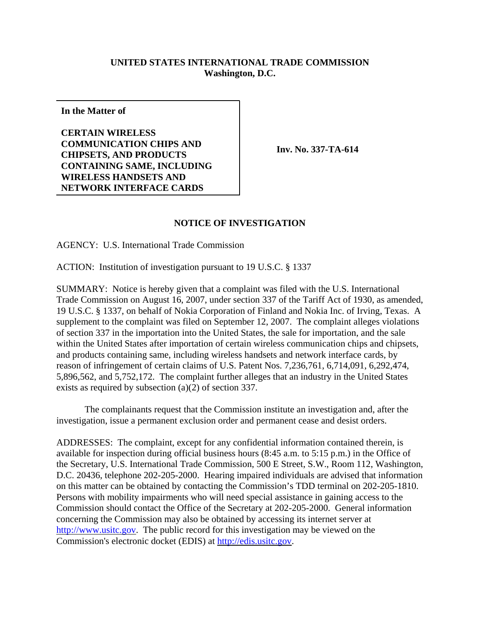## **UNITED STATES INTERNATIONAL TRADE COMMISSION Washington, D.C.**

**In the Matter of**

**CERTAIN WIRELESS COMMUNICATION CHIPS AND CHIPSETS, AND PRODUCTS CONTAINING SAME, INCLUDING WIRELESS HANDSETS AND NETWORK INTERFACE CARDS**

**Inv. No. 337-TA-614**

## **NOTICE OF INVESTIGATION**

AGENCY: U.S. International Trade Commission

ACTION: Institution of investigation pursuant to 19 U.S.C. § 1337

SUMMARY: Notice is hereby given that a complaint was filed with the U.S. International Trade Commission on August 16, 2007, under section 337 of the Tariff Act of 1930, as amended, 19 U.S.C. § 1337, on behalf of Nokia Corporation of Finland and Nokia Inc. of Irving, Texas. A supplement to the complaint was filed on September 12, 2007. The complaint alleges violations of section 337 in the importation into the United States, the sale for importation, and the sale within the United States after importation of certain wireless communication chips and chipsets, and products containing same, including wireless handsets and network interface cards, by reason of infringement of certain claims of U.S. Patent Nos. 7,236,761, 6,714,091, 6,292,474, 5,896,562, and 5,752,172. The complaint further alleges that an industry in the United States exists as required by subsection (a)(2) of section 337.

The complainants request that the Commission institute an investigation and, after the investigation, issue a permanent exclusion order and permanent cease and desist orders.

ADDRESSES: The complaint, except for any confidential information contained therein, is available for inspection during official business hours (8:45 a.m. to 5:15 p.m.) in the Office of the Secretary, U.S. International Trade Commission, 500 E Street, S.W., Room 112, Washington, D.C. 20436, telephone 202-205-2000. Hearing impaired individuals are advised that information on this matter can be obtained by contacting the Commission's TDD terminal on 202-205-1810. Persons with mobility impairments who will need special assistance in gaining access to the Commission should contact the Office of the Secretary at 202-205-2000. General information concerning the Commission may also be obtained by accessing its internet server at http://www.usitc.gov. The public record for this investigation may be viewed on the Commission's electronic docket (EDIS) at http://edis.usitc.gov.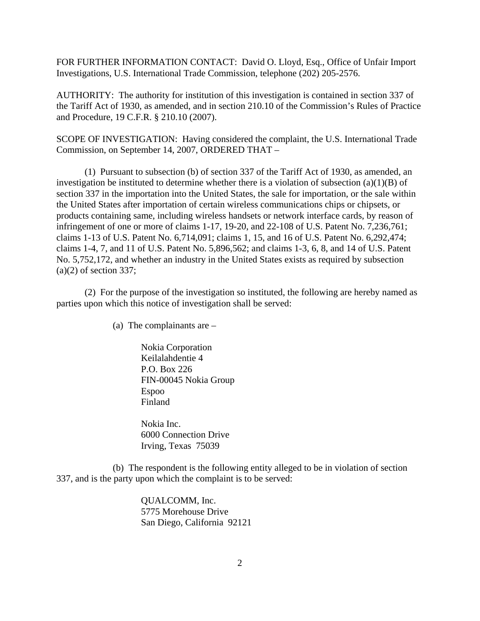FOR FURTHER INFORMATION CONTACT: David O. Lloyd, Esq., Office of Unfair Import Investigations, U.S. International Trade Commission, telephone (202) 205-2576.

AUTHORITY: The authority for institution of this investigation is contained in section 337 of the Tariff Act of 1930, as amended, and in section 210.10 of the Commission's Rules of Practice and Procedure, 19 C.F.R. § 210.10 (2007).

SCOPE OF INVESTIGATION: Having considered the complaint, the U.S. International Trade Commission, on September 14, 2007, ORDERED THAT –

(1) Pursuant to subsection (b) of section 337 of the Tariff Act of 1930, as amended, an investigation be instituted to determine whether there is a violation of subsection  $(a)(1)(B)$  of section 337 in the importation into the United States, the sale for importation, or the sale within the United States after importation of certain wireless communications chips or chipsets, or products containing same, including wireless handsets or network interface cards, by reason of infringement of one or more of claims 1-17, 19-20, and 22-108 of U.S. Patent No. 7,236,761; claims 1-13 of U.S. Patent No. 6,714,091; claims 1, 15, and 16 of U.S. Patent No. 6,292,474; claims 1-4, 7, and 11 of U.S. Patent No. 5,896,562; and claims 1-3, 6, 8, and 14 of U.S. Patent No. 5,752,172, and whether an industry in the United States exists as required by subsection  $(a)(2)$  of section 337;

(2) For the purpose of the investigation so instituted, the following are hereby named as parties upon which this notice of investigation shall be served:

(a) The complainants are –

Nokia Corporation Keilalahdentie 4 P.O. Box 226 FIN-00045 Nokia Group Espoo Finland

Nokia Inc. 6000 Connection Drive Irving, Texas 75039

(b) The respondent is the following entity alleged to be in violation of section 337, and is the party upon which the complaint is to be served:

> QUALCOMM, Inc. 5775 Morehouse Drive San Diego, California 92121